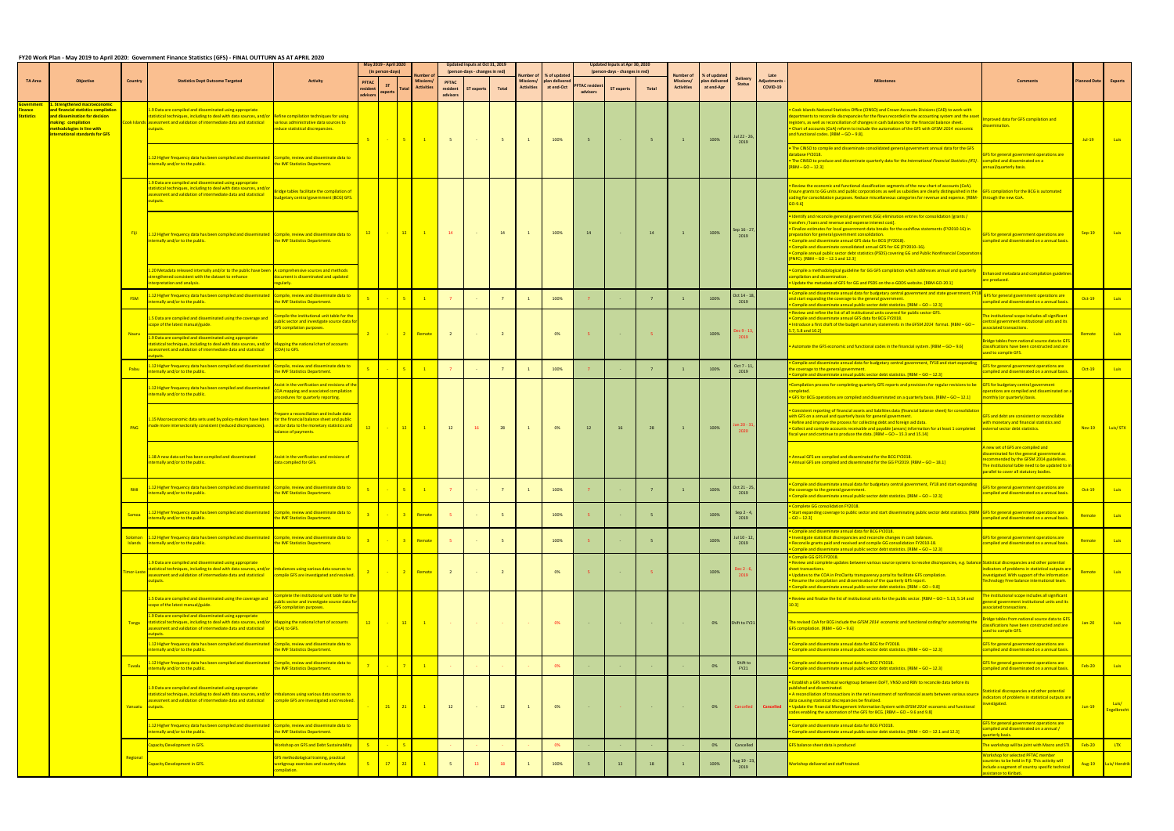## FY20 Work Plan - May 2019 to April 2020: Government Finance Statistics (GFS) - FINAL OUTTURN AS AT APRIL 2020

|                   |                                                                                                                                                                                                           |                           |                                                                                                                                                                                                                                          |                                                                                                                                                              |                   | May 2019 - April 2020<br>(in person-days) |                                  |                                      | Updated Inputs at Oct 31, 2019<br>(person-days - changes in red) |       |                                       |                                              |                                   | Updated Inputs at Apr 30, 2020<br>(person-days - changes in red) |       |                                             |                                                     |                                                            | Late |                                                                                                                                                                                                                                                                                                                                                                                                                                                                                                                                                                                                         |                                                                                                                                                                                                                       |                     |                             |
|-------------------|-----------------------------------------------------------------------------------------------------------------------------------------------------------------------------------------------------------|---------------------------|------------------------------------------------------------------------------------------------------------------------------------------------------------------------------------------------------------------------------------------|--------------------------------------------------------------------------------------------------------------------------------------------------------------|-------------------|-------------------------------------------|----------------------------------|--------------------------------------|------------------------------------------------------------------|-------|---------------------------------------|----------------------------------------------|-----------------------------------|------------------------------------------------------------------|-------|---------------------------------------------|-----------------------------------------------------|------------------------------------------------------------|------|---------------------------------------------------------------------------------------------------------------------------------------------------------------------------------------------------------------------------------------------------------------------------------------------------------------------------------------------------------------------------------------------------------------------------------------------------------------------------------------------------------------------------------------------------------------------------------------------------------|-----------------------------------------------------------------------------------------------------------------------------------------------------------------------------------------------------------------------|---------------------|-----------------------------|
| <b>TA Area</b>    | <b>Objective</b>                                                                                                                                                                                          | <b>Country</b>            | <b>Statistics Dept Outcome Targeted</b>                                                                                                                                                                                                  | <b>Activity</b>                                                                                                                                              | <b>PFTAC</b>      | <b>ST</b><br>experts                      | Missions<br><b>Activities</b>    | <b>PFTAC</b><br>resident<br>advisors | <b>ST experts</b>                                                | Total | <b>Missions/</b><br><b>Activities</b> | % of updated<br>plan delivered<br>at end-Oct | <b>PFTAC</b> resident<br>advisors | <b>ST experts</b>                                                | Total | lumber of<br>Missions/<br><b>Activities</b> | <b>6 of updated</b><br>plan delivered<br>at end-Apr | <b>Delivery</b><br>diustments<br><b>Status</b><br>COVID-19 |      |                                                                                                                                                                                                                                                                                                                                                                                                                                                                                                                                                                                                         |                                                                                                                                                                                                                       | <b>Planned Date</b> | <b>Experts</b>              |
| <b>itatistics</b> | <u>Strengthened macroeconomic</u><br><b>Ind financial statistics compilation</b><br>and dissemination for decision<br>naking: compilation<br>nethodologies in line with<br>nternational standards for GFS |                           | .9 Data are compiled and disseminated using appropriate<br>atistical techniques, including to deal with data sources, and/or<br>ook Islands assessment and validation of intermediate data and statistical<br>utputs.                    | Refine compilation techniques for using<br>various administrative data sources to<br>duce statistical discrepancies.                                         | 5.                | <b>State State</b>                        | 5 <sub>1</sub><br>$\blacksquare$ | -5                                   |                                                                  |       |                                       | 100%                                         | - 5                               |                                                                  |       |                                             | 100%                                                | Jul 22 - 26,                                               |      | Cook Islands National Statistics Office (CINSO) and Crown Accounts Divisions (CAD) to work with<br>epartments to reconcile discrepancies for the flows recorded in the accounting system and the asset<br>egisters, as well as reconciliation of changes in cash balances for the financial balance sheet.<br>Chart of accounts (CoA) reform to include the automation of the GFS with GFSM 2014 economic<br>and functional codes. [RBM - GO - 9.8].                                                                                                                                                    | roved data for GFS compilation and<br>mination.                                                                                                                                                                       | $Jul-19$            | <b>Luis</b>                 |
|                   |                                                                                                                                                                                                           |                           | 12 Higher frequency data has been compiled and disseminated Compile, review and disseminate data to<br>iternally and/or to the public.                                                                                                   | the IMF Statistics Department.                                                                                                                               |                   |                                           |                                  |                                      |                                                                  |       |                                       |                                              |                                   |                                                                  |       |                                             |                                                     | 2019                                                       |      | The CINSO to compile and disseminate consolidated general government annual data for the GFS<br>atabase FY2018.<br>The CINSO to produce and disseminate quarterly data for the International Financial Statistics (IFS)<br>$\overline{[\textsf{RBM}-\textsf{GO}-12.3]}$                                                                                                                                                                                                                                                                                                                                 | <b>FS for general government operations are</b><br>compiled and disseminated on a<br>nual/quarterly basis.                                                                                                            |                     |                             |
|                   |                                                                                                                                                                                                           |                           | 1.9 Data are compiled and disseminated using appropriate<br>tatistical techniques, including to deal with data sources, and/o<br>ssessment and validation of intermediate data and statistical<br>outputs.                               | ridge tables facilitate the compilation of<br>udgetary central government (BCG) GFS.                                                                         |                   |                                           |                                  |                                      |                                                                  |       |                                       |                                              |                                   |                                                                  |       |                                             |                                                     |                                                            |      | Review the economic and functional classification segments of the new chart of accounts (CoA).<br>Ensure grants to GG units and public corporations as well as subsidies are clearly distinguished in the GFS compilation for the BCG is automated<br>coding for consolidation purposes. Reduce miscellaneous categories for revenue and expense. [RBM- through the new CoA.<br>$GO-9.6$                                                                                                                                                                                                                |                                                                                                                                                                                                                       |                     |                             |
|                   |                                                                                                                                                                                                           |                           | 12 Higher frequency data has been compiled and disseminated Compile, review and disseminate data to<br>iternally and/or to the public.                                                                                                   | the IMF Statistics Department.                                                                                                                               | $\frac{12}{ }$    | <b>Contractor</b>                         | $\blacksquare$                   | 14                                   |                                                                  | 14    |                                       | 100%                                         | 14                                |                                                                  |       |                                             | 100%                                                | Sep 16 - 27,<br>2019                                       |      | Identify and reconcile general government (GG) elimination entries for consolidation [grants /<br>ransfers / loans and revenue and expense interest cost].<br>. Finalize estimates for local government data breaks for the cashflow statements (FY2010-16) in<br>preparation for general government consolidation.<br>Compile and disseminate annual GFS data for BCG (FY2018)<br>Compile and disseminate consolidated annual GFS for GG (FY2010-16).<br>Compile annual public sector debt statistics (PSDS) covering GG and Public Nonfinancial Corporations<br>PNFC). $[RBM - GO - 12.1$ and $12.3]$ | <b>FS</b> for general government operations are<br>ompiled and disseminated on a annual basis.                                                                                                                        | $Sep-19$            | Luis                        |
|                   |                                                                                                                                                                                                           |                           | .20 Metadata released internally and/or to the public have been<br>trengthened consistent with the dataset to enhance<br>nterpretation and analysis.                                                                                     | A comprehensive sources and methods<br>locument is disseminated and updated<br>zularlv                                                                       |                   |                                           |                                  |                                      |                                                                  |       |                                       |                                              |                                   |                                                                  |       |                                             |                                                     |                                                            |      | Compile a methodological guideline for GG GFS compilation which addresses annual and quarterly<br>ompilation and dissemination.<br>Update the metadata of GFS for GG and PSDS on the e-GDDS website. [RBM-GO-20.1]                                                                                                                                                                                                                                                                                                                                                                                      | anced metadata and compilation guideline:<br>re produced.                                                                                                                                                             |                     |                             |
|                   |                                                                                                                                                                                                           | <b>FSM</b>                | .12 Higher frequency data has been compiled and disseminated<br>ternally and/or to the public.                                                                                                                                           | Compile, review and disseminate data to<br>the IMF Statistics Department.                                                                                    |                   |                                           | $-5 -$                           |                                      |                                                                  |       |                                       | 100%                                         |                                   |                                                                  |       |                                             | 100%                                                | Oct 14 - 18,<br>2019                                       |      | Compile and disseminate annual data for budgetary central government and state government, F<br>and start expanding the coverage to the general government.<br>Compile and disseminate annual public sector debt statistics. [RBM - GO - 12.3]                                                                                                                                                                                                                                                                                                                                                          | FS for general government operations are<br>ompiled and disseminated on a annual basis.                                                                                                                               | $Oct-19$            | Luis                        |
|                   |                                                                                                                                                                                                           |                           | 1.5 Data are compiled and disseminated using the coverage and<br>cope of the latest manual/guide.                                                                                                                                        | mpile the institutional unit table for the<br>public sector and investigate source data for<br><b>GFS compilation purposes.</b>                              |                   |                                           |                                  |                                      |                                                                  |       |                                       |                                              |                                   |                                                                  |       |                                             |                                                     | c 9 - 13                                                   |      | Review and refine the list of all institutional units covered for public sector GFS.<br>. Compile and disseminate annual GFS data for BCG FY2018.<br>Introduce a first draft of the budget summary statements in the GFSM 2014 format. [RBM - GO<br>$5.7, 5.8$ and $10.2$ ]                                                                                                                                                                                                                                                                                                                             | le institutional scope includes all significant<br>entral government institutional units and its<br>sociated transactions.                                                                                            |                     |                             |
|                   |                                                                                                                                                                                                           | <b>Nauru</b>              | .9 Data are compiled and disseminated using appropriate<br>atistical techniques, including to deal with data sources, and/or Mapping the national chart of accounts<br>sessment and validation of intermediate data and statistical      | (COA) to GFS.                                                                                                                                                | $\sim$ 2 $\sim$ 1 |                                           | <u>- <mark>2 Remote</mark></u>   | <sup>2</sup>                         |                                                                  |       |                                       | 0%                                           | - 5                               |                                                                  |       |                                             | 100%                                                | 2019                                                       |      | Automate the GFS economic and functional codes in the financial system. [RBM - GO - 9.6]                                                                                                                                                                                                                                                                                                                                                                                                                                                                                                                | idge tables from national source data to GFS<br>classifications have been constructed and are<br>sed to compile GFS.                                                                                                  | Remote              | <b>Luis</b>                 |
|                   |                                                                                                                                                                                                           | Palau                     | 12 Higher frequency data has been compiled and disseminated<br>iternally and/or to the public.                                                                                                                                           | Compile, review and disseminate data to<br>the IMF Statistics Department.                                                                                    |                   |                                           | 5 <sub>1</sub><br>$\overline{1}$ |                                      |                                                                  |       |                                       | 100%                                         |                                   |                                                                  |       |                                             | 100%                                                | Oct 7 - 11<br>2019                                         |      | Compile and disseminate annual data for budgetary central government, FY18 and start expandin<br>the coverage to the general government.<br>ompile and disseminate annual public sector debt statistics. [RBM - GO - 12.3]                                                                                                                                                                                                                                                                                                                                                                              | GFS for general government operations are<br>ompiled and disseminated on a annual basis.                                                                                                                              | $Oct-19$            | <b>Luis</b>                 |
|                   |                                                                                                                                                                                                           |                           | 1.12 Higher frequency data has been compiled and disseminated<br>ternally and/or to the public.                                                                                                                                          | ssist in the verification and revisions of the<br>OA mapping and associated compilation<br>ocedures for quarterly reporting.                                 |                   |                                           |                                  |                                      |                                                                  |       |                                       |                                              |                                   |                                                                  |       |                                             |                                                     |                                                            |      | Compilation process for completing quarterly GFS reports and provisions for regular revisions to be<br>mpleted.<br>• GFS for BCG operations are compiled and disseminated on a quarterly basis. [RBM - GO - 12.1]                                                                                                                                                                                                                                                                                                                                                                                       | <b>GFS for budgetary central government</b><br>erations are compiled and disseminated on a<br>nonthly (or quarterly) basis.                                                                                           |                     |                             |
|                   |                                                                                                                                                                                                           | <b>PNG</b>                | 1.15 Macroeconomic data sets used by policy-makers have been<br>made more intersectorally consistent (reduced discrepancies).                                                                                                            | repare a reconciliation and include data<br>for the financial balance sheet and public<br>sector data to the monetary statistics and<br>palance of payments. | 12                | <b>State State</b>                        | 12<br>$\blacksquare$ 1           | 12                                   | 16 <sup>1</sup>                                                  | 28    |                                       | 0%                                           | 12                                | 16                                                               | 28    |                                             | 100%                                                | n 20 - 3<br>2020                                           |      | Consistent reporting of financial assets and liabilities data (financial balance sheet) for consolidation<br>with GFS on a annual and quarterly basis for general government.<br>. Refine and improve the process for collecting debt and foreign aid data.<br>. Collect and compile accounts receivable and payable (arears) information for at least 1 completed external sector debt statistics.<br>fiscal year and continue to produce the data. [RBM - GO - 15.3 and 15.14]                                                                                                                        | <b>GFS and debt are consistent or reconcilable</b><br>with monetary and financial statistics and                                                                                                                      | $Nov-19$            | Luis/STX                    |
|                   |                                                                                                                                                                                                           |                           | .18 A new data set has been compiled and disseminated<br>ternally and/or to the public.                                                                                                                                                  | Assist in the verification and revisions of<br>ata compiled for GFS.                                                                                         |                   |                                           |                                  |                                      |                                                                  |       |                                       |                                              |                                   |                                                                  |       |                                             |                                                     |                                                            |      | Annual GFS are compiled and disseminated for the BCG FY2018.<br>Annual GFS are compiled and disseminated for the GG FY2019. [RBM - GO - 18.1]                                                                                                                                                                                                                                                                                                                                                                                                                                                           | new set of GFS are compiled and<br>isseminated for the general government as<br>commended by the GFSM 2014 guidelines.<br>The institutional table need to be updated to ir<br>parallel to cover all statutory bodies. |                     |                             |
|                   |                                                                                                                                                                                                           | <b>RMI</b>                | All 2 Higher frequency data has been compiled and disseminated Compile, review and disseminate data to<br>ternally and/or to the public.                                                                                                 | the IMF Statistics Department.                                                                                                                               |                   |                                           | $5 \mid$<br>$\blacksquare$       |                                      |                                                                  |       |                                       | 100%                                         |                                   |                                                                  |       |                                             | 100%                                                | Oct 21 - 25,<br>2019                                       |      | Compile and disseminate annual data for budgetary central government, FY18 and start expandi<br>the coverage to the general government.<br>Compile and disseminate annual public sector debt statistics. [RBM - GO - 12.3]                                                                                                                                                                                                                                                                                                                                                                              | GFS for general government operations are<br>ompiled and disseminated on a annual basis.                                                                                                                              | $Oct-19$            | Luis                        |
|                   |                                                                                                                                                                                                           | Samoa                     | 12 Higher frequency data has been compiled and disseminated Compile, review and disseminate data to<br>ernally and/or to the public.                                                                                                     | the IMF Statistics Department.                                                                                                                               |                   |                                           | 3 Remote                         |                                      |                                                                  |       |                                       | 100%                                         |                                   |                                                                  |       |                                             | 100%                                                | Sep 2 - 4<br>2019                                          |      | <b>Complete GG consolidation FY2018.</b><br>Start expanding coverage to public sector and start disseminating public sector debt statistics. [RBM GFS for general government operations are<br>$-GO - 12.3$                                                                                                                                                                                                                                                                                                                                                                                             | ompiled and disseminated on a annual basis                                                                                                                                                                            | Remote              | <b>Luis</b>                 |
|                   |                                                                                                                                                                                                           | Solomon<br><b>Islands</b> | 1.12 Higher frequency data has been compiled and disseminated<br>internally and/or to the public.                                                                                                                                        | Compile, review and disseminate data to<br>the IMF Statistics Department.                                                                                    |                   |                                           | 3 Remote                         |                                      |                                                                  | -5    |                                       | 100%                                         |                                   |                                                                  |       |                                             | 100%                                                | ul 10 - 12,<br>2019                                        |      | Compile and disseminate annual data for BCG FY2018.<br>Investigate statistical discrepancies and reconcile changes in cash balances.<br>Reconcile grants paid and received and compile GG consolidation FY2010-18.<br>Compile and disseminate annual public sector debt statistics. [RBM - GO - 12.3]                                                                                                                                                                                                                                                                                                   | GFS for general government operations are<br>ompiled and disseminated on a annual basis.                                                                                                                              | Remote              | <b>Luis</b>                 |
|                   |                                                                                                                                                                                                           | nor-Les                   | .9 Data are compiled and disseminated using appropriate<br>atistical techniques, including to deal with data sources, and/or<br>sessment and validation of intermediate data and statistical<br>utputs.                                  | mbalances using various data sources to<br>ompile GFS are investigated and resolved                                                                          |                   |                                           | 2 Remote                         | $\overline{2}$                       |                                                                  |       |                                       | 0%                                           | - 5                               |                                                                  |       |                                             | 100%                                                | ec 2 - 6                                                   |      | Compile GG GFS FY2018.<br>Review and complete updates between various source systems to resolve discrepancies, e.g. balan<br>heet transactions.<br>Updates to the COA in ProClarity transparency portal to facilitate GFS compilation.<br>Resume the compilation and dissemination of the quarterly GFS report.<br>ompile and disseminate annual public sector debt statistics. [RBM - GO - 9.8]                                                                                                                                                                                                        | ice Statistical discrepancies and other potential<br>dicators of problems in statistical outputs are<br>vestigated. With support of the Information<br>chnology Free balance international team.                      | Remote              | <b>Luis</b>                 |
|                   |                                                                                                                                                                                                           |                           | .5 Data are compiled and disseminated using the coverage and<br>ope of the latest manual/guide.                                                                                                                                          | mplete the institutional unit table for the<br>iblic sector and investigate source data for<br>S compilation purposes.                                       |                   |                                           |                                  |                                      |                                                                  |       |                                       |                                              |                                   |                                                                  |       |                                             |                                                     |                                                            |      | Review and finalize the list of institutional units for the public sector. [RBM - GO - 5.13, 5.14 and                                                                                                                                                                                                                                                                                                                                                                                                                                                                                                   | le institutional scope includes all significant<br>neral government institutional units and its<br>sociated transactions.                                                                                             |                     |                             |
|                   |                                                                                                                                                                                                           | <b>Tonga</b>              | 9 Data are compiled and disseminated using appropriate<br>atistical techniques, including to deal with data sources, and/or<br>sessment and validation of intermediate data and statistical<br>tnuts                                     | Aapping the national chart of accounts<br>oA) to GFS.                                                                                                        | $-12$             |                                           | 12<br>$\blacksquare$             |                                      |                                                                  |       |                                       | 0%                                           |                                   |                                                                  |       |                                             | 0%                                                  | Shift to FY21                                              |      | The revised CoA for BCG include the GFSM 2014 economic and functional coding for automating th<br>FS compilation. [RBM - GO - 9.6]                                                                                                                                                                                                                                                                                                                                                                                                                                                                      | idge tables from national source data to GFS<br>ssifications have been constructed and are<br>sed to compile GFS.                                                                                                     | $Jan-20$            | <b>Luis</b>                 |
|                   |                                                                                                                                                                                                           |                           | .12 Higher frequency data has been compiled and disseminated<br>ternally and/or to the public.                                                                                                                                           | Compile, review and disseminate data to<br>he IMF Statistics Department.                                                                                     |                   |                                           |                                  |                                      |                                                                  |       |                                       |                                              |                                   |                                                                  |       |                                             |                                                     |                                                            |      | Compile and disseminate annual data for BCG for FY2018.<br>Compile and disseminate annual public sector debt statistics. [RBM - GO - 12.3]                                                                                                                                                                                                                                                                                                                                                                                                                                                              | <b>GFS for general government operations are</b><br>ompiled and disseminated on a annual basis.                                                                                                                       |                     |                             |
|                   |                                                                                                                                                                                                           | Tuvalu                    | 12 Higher frequency data has been compiled and disseminated<br>ternally and/or to the public.                                                                                                                                            | Compile, review and disseminate data to<br>the IMF Statistics Department.                                                                                    |                   |                                           | $\overline{7}$<br>$\overline{1}$ |                                      |                                                                  |       |                                       | 0%                                           |                                   |                                                                  |       |                                             | 0%                                                  | Shift to<br><b>FY21</b>                                    |      | Compile and disseminate annual data for BCG FY2018.<br>Compile and disseminate annual public sector debt statistics. [RBM - GO - 12.3]                                                                                                                                                                                                                                                                                                                                                                                                                                                                  | <b>FS</b> for general government operations are<br>ompiled and disseminated on a annual basis.                                                                                                                        | $Feb-20$            | <b>Luis</b>                 |
|                   |                                                                                                                                                                                                           | Vanuatu outputs.          | 1.9 Data are compiled and disseminated using appropriate<br>tatistical techniques, including to deal with data sources, and/or Imbalances using various data sources to<br>ssessment and validation of intermediate data and statistical | compile GFS are investigated and resolved                                                                                                                    |                   | 21                                        | 21<br>$\overline{1}$             | 12                                   |                                                                  | 12    |                                       | 0%                                           |                                   |                                                                  |       |                                             | 0%                                                  | Cancelle                                                   |      | Establish a GFS technical workgroup between DoFT, VNSO and RBV to reconcile data before its<br>ublished and disseminated.<br>A reconciliation of transactions in the net investment of nonfinancial assets between various sour<br>data causing statistical discrepancies be finalized.<br>Cancelled • Update the Financial Management Information System with GFSM 2014 economic and functional<br>odes enabling the automation of the GFS for BCG. [RBM - GO - 9.6 and 9.8]                                                                                                                           | tatistical discrepancies and other potential<br>ndicators of problems in statistical outputs are<br>nvestigated.                                                                                                      | $Jun-19$            | Luis/<br><b>Ingelbrecht</b> |
|                   |                                                                                                                                                                                                           |                           | 12 Higher frequency data has been compiled and disseminated Compile, review and disseminate data to<br>ternally and/or to the public.                                                                                                    | he IMF Statistics Department.                                                                                                                                |                   |                                           |                                  |                                      |                                                                  |       |                                       |                                              |                                   |                                                                  |       |                                             |                                                     |                                                            |      | Compile and disseminate annual data for BCG FY2018.<br>ompile and disseminate annual public sector debt statistics. [RBM - GO - 12.1 and 12.3]                                                                                                                                                                                                                                                                                                                                                                                                                                                          | GFS for general government operations are<br>mpiled and disseminated on a annual /<br>arterly basis.                                                                                                                  |                     |                             |
|                   |                                                                                                                                                                                                           |                           | Capacity Development in GFS.                                                                                                                                                                                                             | <b>Vorkshop on GFS and Debt Sustainability</b>                                                                                                               | 5 <sup>7</sup>    |                                           | $-5$                             |                                      |                                                                  |       |                                       | 0%                                           |                                   |                                                                  |       |                                             | 0%                                                  | Cancelled                                                  |      | <b>GFS balance sheet data is produced</b>                                                                                                                                                                                                                                                                                                                                                                                                                                                                                                                                                               | he workshop will be joint with Macro and STI.                                                                                                                                                                         | <b>Feb-20</b>       | <b>LTX</b>                  |
|                   |                                                                                                                                                                                                           | Regional                  | apacity Development in GFS.                                                                                                                                                                                                              | GFS methodological training, practical<br>orkgroup exercises and country data<br>npilation                                                                   |                   | $-17$                                     | 22                               | 5                                    | 13                                                               | 18    |                                       | 100%                                         |                                   | <b>13</b>                                                        | 18    |                                             | 100%                                                | ug 19 - 23,<br>2019                                        |      | Workshop delivered and staff trained.                                                                                                                                                                                                                                                                                                                                                                                                                                                                                                                                                                   | <b>Vorkshop for selected PFTAC member</b><br>buntries to be held in Fiji. This activity will<br>nclude a segment of country specific technical<br>sistance to Kiribati.                                               |                     | Aug-19 Luis/ Hendrik        |